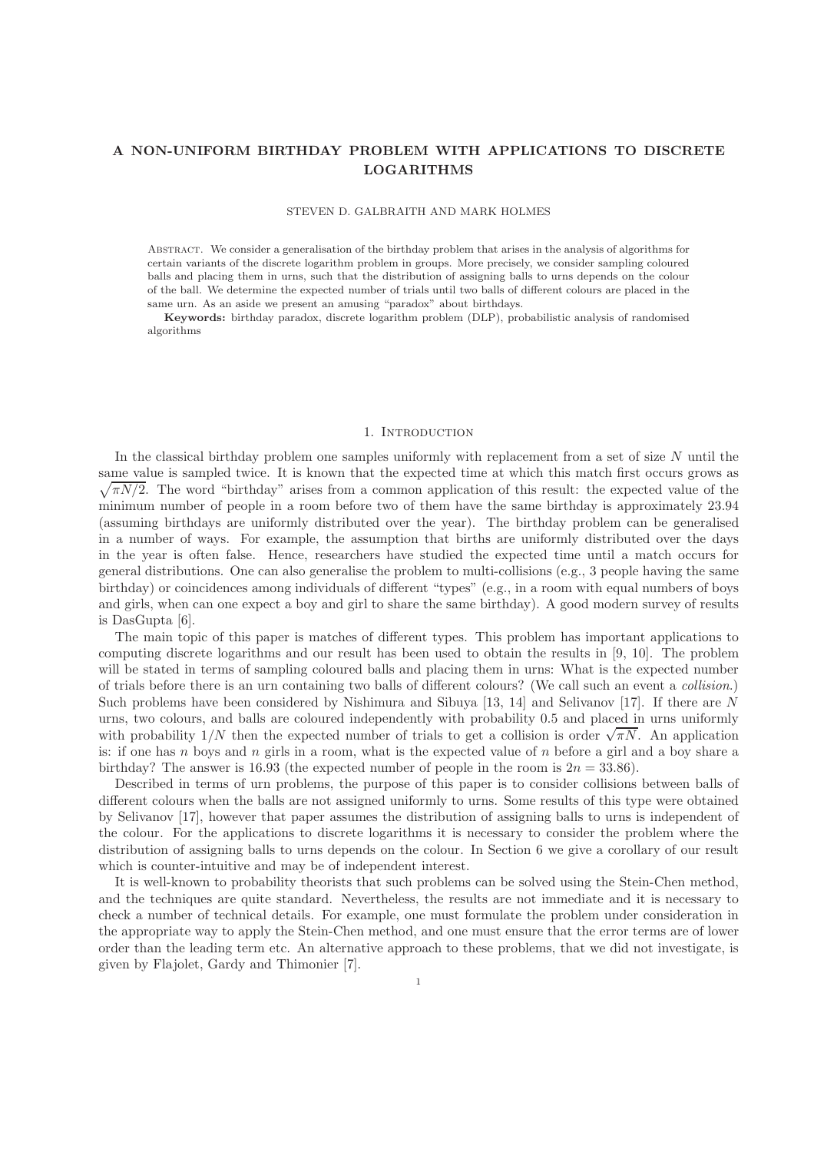# A NON-UNIFORM BIRTHDAY PROBLEM WITH APPLICATIONS TO DISCRETE LOGARITHMS

#### STEVEN D. GALBRAITH AND MARK HOLMES

Abstract. We consider a generalisation of the birthday problem that arises in the analysis of algorithms for certain variants of the discrete logarithm problem in groups. More precisely, we consider sampling coloured balls and placing them in urns, such that the distribution of assigning balls to urns depends on the colour of the ball. We determine the expected number of trials until two balls of different colours are placed in the same urn. As an aside we present an amusing "paradox" about birthdays.

Keywords: birthday paradox, discrete logarithm problem (DLP), probabilistic analysis of randomised algorithms

# 1. Introduction

In the classical birthday problem one samples uniformly with replacement from a set of size  $N$  until the same value is sampled twice. It is known that the expected tim e at which this match first occurs grows as  $\sqrt{\pi N/2}$ . The word "birthday" arises from a common application of this result: the expected value of the minimum number of people in a room before two of them have the same birthday is approximately 23.94 (assuming birthdays are uniformly distributed over the year). The birthday problem can be generalised in a number of ways. For example, the assumption that births are uniformly distributed over the days in the year is often false. Hence, researchers have studied the expected time until a match occurs for general distributions. One can also generalise the problem to multi-collisions (e.g., 3 people having the same birthday) or coincidences among individuals of different "types" (e.g., in a room with equal numbers of boys and girls, when can one expect a boy and girl to share the same birthday). A good modern survey of results is DasGupta [6].

The main topic of this paper is matches of different types. This problem has important applications to computing discrete logarithms and our result has been used to obtain the results in [9, 10]. The problem will be stated in terms of sampling coloured balls and placing them in urns: What is the expected number of trials before there is an urn containing two balls of different colours? (We call such an event a *collision*.) Such problems have been considered by Nishimura and Sibuya [13, 14] and Selivanov [17]. If there are N urns, two colours, and balls are coloured independently with probability 0.5 and placed in urns uniformly with probability  $1/N$  then the expected number of trials to get a collision is order  $\sqrt{\pi N}$ . An application is: if one has n boys and n girls in a room, what is the expected value of n before a girl and a boy share a birthday? The answer is 16.93 (the expected number of people in the room is  $2n = 33.86$ ).

Described in terms of urn problems, the purpose of this paper is to consider collisions between balls of different colours when the balls are not assigned uniformly to urns. Some results of this type were obtained by Selivanov [17], however that paper assumes the distribution of assigning balls to urns is independent of the colour. For the applications to discrete logarithms it is necessary to consider the problem where the distribution of assigning balls to urns depends on the colour. In Section 6 we give a corollary of our result which is counter-intuitive and may be of independent interest.

It is well-known to probability theorists that such problems can be solved using the Stein-Chen method, and the techniques are quite standard. Nevertheless, the results are not immediate and it is necessary to check a number of technical details. For example, one must formulate the problem under consideration in the appropriate way to apply the Stein-Chen method, and one must ensure that the error terms are of lower order than the leading term etc. An alternative approach to these problems, that we did not investigate, is given by Flajolet, Gardy and Thimonier [7].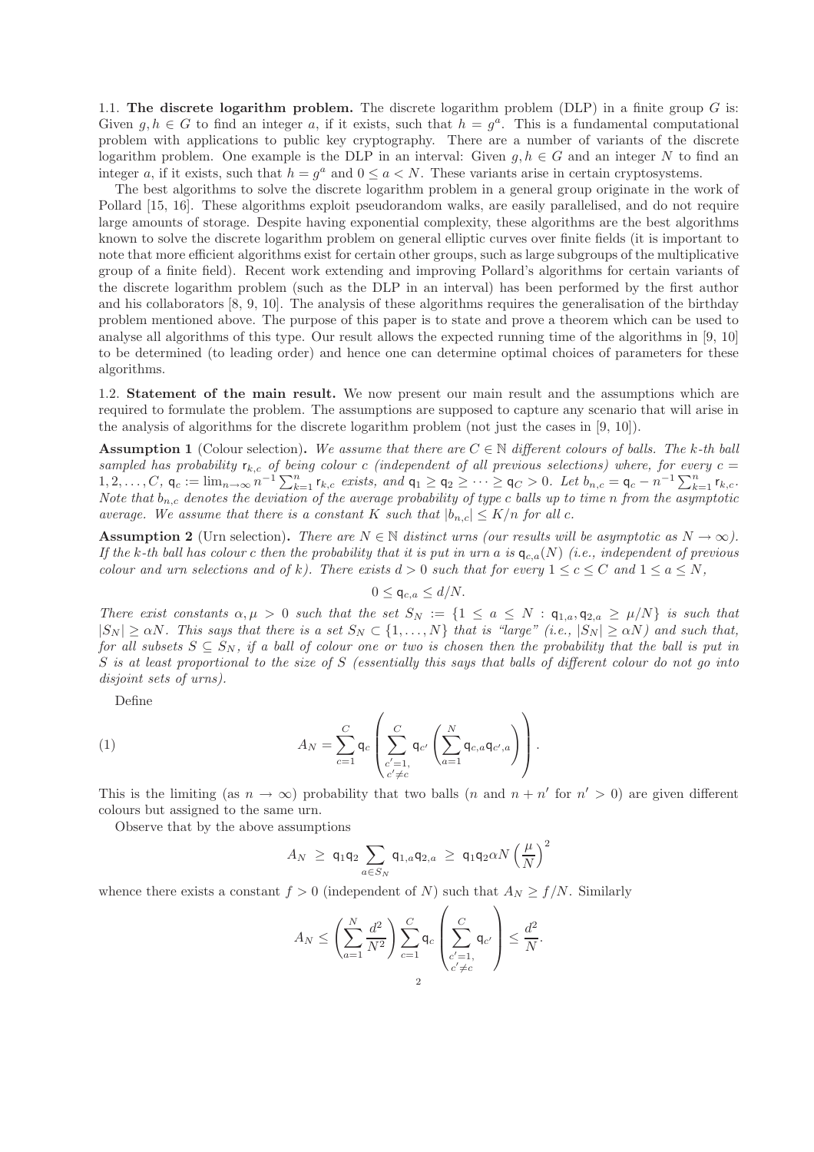1.1. The discrete logarithm problem. The discrete logarithm problem (DLP) in a finite group  $G$  is: Given  $g, h \in G$  to find an integer a, if it exists, such that  $h = g^a$ . This is a fundamental computational problem with applications to public key cryptography. There are a number of variants of the discrete logarithm problem. One example is the DLP in an interval: Given  $g, h \in G$  and an integer N to find an integer a, if it exists, such that  $h = g^a$  and  $0 \le a \le N$ . These variants arise in certain cryptosystems.

The best algorithms to solve the discrete logarithm problem in a general group originate in the work of Pollard [15, 16]. These algorithms exploit pseudorandom walks, are easily parallelised, and do not require large amounts of storage. Despite having exponential complexity, these algorithms are the best algorithms known to solve the discrete logarithm problem on general elliptic curves over finite fields (it is important to note that more efficient algorithms exist for certain other groups, such as large subgroups of the multiplicative group of a finite field). Recent work extending and improving Pollard's algorithms for certain variants of the discrete logarithm problem (such as the DLP in an interval) has been performed by the first author and his collaborators [8, 9, 10]. The analysis of these algorithms requires the generalisation of the birthday problem mentioned above. The purpose of this paper is to state and prove a theorem which can be used to analyse all algorithms of this type. Our result allows the expected running time of the algorithms in [9, 10] to be determined (to leading order) and hence one can determine optimal choices of parameters for these algorithms.

1.2. Statement of the main result. We now present our main result and the assumptions which are required to formulate the problem. The assumptions are supposed to capture any scenario that will arise in the analysis of algorithms for the discrete logarithm problem (not just the cases in [9, 10]).

**Assumption 1** (Colour selection). We assume that there are  $C \in \mathbb{N}$  different colours of balls. The k-th ball sampled has probability  $r_{k,c}$  of being colour c (independent of all previous selections) where, for every  $c =$ 1, 2, . . . , C, q<sub>c</sub> := lim<sub>n→∞</sub>  $n^{-1} \sum_{k=1}^{n} r_{k,c}$  *exists, and*  $q_1 \ge q_2 \ge \cdots \ge q_C > 0$ *. Let*  $b_{n,c} = q_c - n^{-1} \sum_{k=1}^{n} r_{k,c}$ *. Note that* bn,c *denotes the deviation of the average probability of type* c *balls up to time* n *from the asymptotic average. We assume that there is a constant* K *such that*  $|b_{n,c}| \leq K/n$  *for all c.* 

**Assumption 2** (Urn selection). *There are*  $N \in \mathbb{N}$  *distinct urns (our results will be asymptotic as*  $N \to \infty$ ). If the k-th ball has colour c then the probability that it is put in urn a is  $q_{c,a}(N)$  (i.e., independent of previous *colour and urn selections and of* k*). There exists*  $d > 0$  *such that for every*  $1 \leq c \leq C$  *and*  $1 \leq a \leq N$ *,* 

$$
0 \le \mathsf{q}_{c,a} \le d/N.
$$

*There exist constants*  $\alpha, \mu > 0$  *such that the set*  $S_N := \{1 \le a \le N : \mathbf{q}_{1,a}, \mathbf{q}_{2,a} \ge \mu/N\}$  *is such that*  $|S_N| \ge \alpha N$ . This says that there is a set  $S_N \subset \{1, \ldots, N\}$  that is "large" (i.e.,  $|S_N| \ge \alpha N$ ) and such that, *for all subsets*  $S \subseteq S_N$ *, if a ball of colour one or two is chosen then the probability that the ball is put in* S *is at least proportional to the size of* S *(essentially this says that balls of different colour do not go into disjoint sets of urns).*

Define

(1) 
$$
A_N = \sum_{c=1}^C \mathsf{q}_c \left( \sum_{\substack{c'=1,\\c'\neq c}}^C \mathsf{q}_{c'} \left( \sum_{a=1}^N \mathsf{q}_{c,a} \mathsf{q}_{c',a} \right) \right).
$$

This is the limiting (as  $n \to \infty$ ) probability that two balls (*n* and  $n + n'$  for  $n' > 0$ ) are given different colours but assigned to the same urn.

Observe that by the above assumptions

$$
A_N \ \geq \ \mathsf{q}_1\mathsf{q}_2 \sum_{a \in S_N} \mathsf{q}_{1,a}\mathsf{q}_{2,a} \ \geq \ \mathsf{q}_1\mathsf{q}_2\alpha N \left(\frac{\mu}{N}\right)^2
$$

 $\sqrt{ }$ 

 $\Delta$ 

whence there exists a constant  $f > 0$  (independent of N) such that  $A_N \ge f/N$ . Similarly

$$
A_N \le \left(\sum_{a=1}^N \frac{d^2}{N^2}\right) \sum_{c=1}^C \mathsf{q}_c \left(\sum_{\substack{c'=1,\\c'\neq c}}^C \mathsf{q}_{c'}\right) \le \frac{d^2}{N}.
$$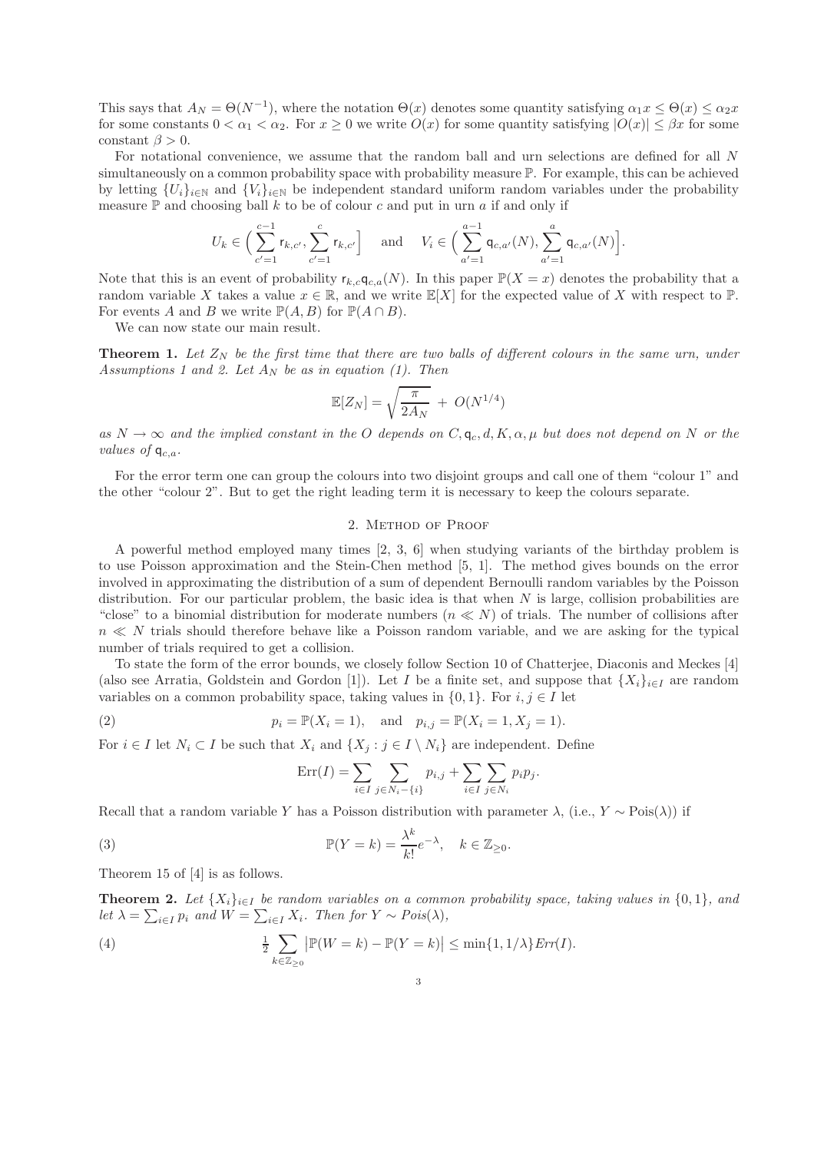This says that  $A_N = \Theta(N^{-1})$ , where the notation  $\Theta(x)$  denotes some quantity satisfying  $\alpha_1 x \leq \Theta(x) \leq \alpha_2 x$ for some constants  $0 < \alpha_1 < \alpha_2$ . For  $x \geq 0$  we write  $O(x)$  for some quantity satisfying  $|O(x)| \leq \beta x$  for some constant  $\beta > 0$ .

For notational convenience, we assume that the random ball and urn selections are defined for all N simultaneously on a common probability space with probability measure  $\mathbb{P}$ . For example, this can be achieved by letting  ${U_i}_{i\in\mathbb{N}}$  and  ${V_i}_{i\in\mathbb{N}}$  be independent standard uniform random variables under the probability measure  $\mathbb P$  and choosing ball k to be of colour c and put in urn a if and only if

$$
U_k \in \Big(\sum_{c'=1}^{c-1} r_{k,c'}, \sum_{c'=1}^{c} r_{k,c'}\Big] \quad \text{ and } \quad V_i \in \Big(\sum_{a'=1}^{a-1} \mathsf{q}_{c,a'}(N), \sum_{a'=1}^{a} \mathsf{q}_{c,a'}(N)\Big].
$$

Note that this is an event of probability  $r_{k,c}q_{c,a}(N)$ . In this paper  $\mathbb{P}(X=x)$  denotes the probability that a random variable X takes a value  $x \in \mathbb{R}$ , and we write  $\mathbb{E}[X]$  for the expected value of X with respect to P. For events A and B we write  $\mathbb{P}(A, B)$  for  $\mathbb{P}(A \cap B)$ .

We can now state our main result.

**Theorem 1.** Let  $Z_N$  be the first time that there are two balls of different colours in the same urn, under *Assumptions 1 and 2. Let*  $A_N$  *be as in equation (1). Then* 

$$
\mathbb{E}[Z_N] = \sqrt{\frac{\pi}{2A_N}} + O(N^{1/4})
$$

 $as N \to \infty$  *and the implied constant in the* O *depends on*  $C, q_c, d, K, \alpha, \mu$  *but does not depend on* N *or the values of*  $q_{c,a}$ *.* 

For the error term one can group the colours into two disjoint groups and call one of them "colour 1" and the other "colour 2". But to get the right leading term it is necessary to keep the colours separate.

#### 2. Method of Proof

A powerful method employed many times [2, 3, 6] when studying variants of the birthday problem is to use Poisson approximation and the Stein-Chen method [5, 1]. The method gives bounds on the error involved in approximating the distribution of a sum of dependent Bernoulli random variables by the Poisson distribution. For our particular problem, the basic idea is that when  $N$  is large, collision probabilities are "close" to a binomial distribution for moderate numbers  $(n \ll N)$  of trials. The number of collisions after  $n \ll N$  trials should therefore behave like a Poisson random variable, and we are asking for the typical number of trials required to get a collision.

To state the form of the error bounds, we closely follow Section 10 of Chatterjee, Diaconis and Meckes [4] (also see Arratia, Goldstein and Gordon [1]). Let I be a finite set, and suppose that  $\{X_i\}_{i\in I}$  are random variables on a common probability space, taking values in  $\{0, 1\}$ . For  $i, j \in I$  let

(2) 
$$
p_i = \mathbb{P}(X_i = 1), \text{ and } p_{i,j} = \mathbb{P}(X_i = 1, X_j = 1).
$$

For  $i \in I$  let  $N_i \subset I$  be such that  $X_i$  and  $\{X_i : j \in I \setminus N_i\}$  are independent. Define

$$
Err(I) = \sum_{i \in I} \sum_{j \in N_i - \{i\}} p_{i,j} + \sum_{i \in I} \sum_{j \in N_i} p_i p_j.
$$

Recall that a random variable Y has a Poisson distribution with parameter  $\lambda$ , (i.e., Y ∼ Pois( $\lambda$ )) if

(3) 
$$
\mathbb{P}(Y=k) = \frac{\lambda^k}{k!} e^{-\lambda}, \quad k \in \mathbb{Z}_{\geq 0}.
$$

Theorem 15 of [4] is as follows.

**Theorem 2.** Let  $\{X_i\}_{i\in I}$  be random variables on a common probability space, taking values in  $\{0,1\}$ , and let  $\lambda = \sum_{i \in I} p_i$  and  $W = \sum_{i \in I} X_i$ . Then for  $Y \sim Pois(\lambda)$ ,

(4) 
$$
\frac{1}{2} \sum_{k \in \mathbb{Z}_{\geq 0}} |\mathbb{P}(W = k) - \mathbb{P}(Y = k)| \leq \min\{1, 1/\lambda\} \text{Err}(I).
$$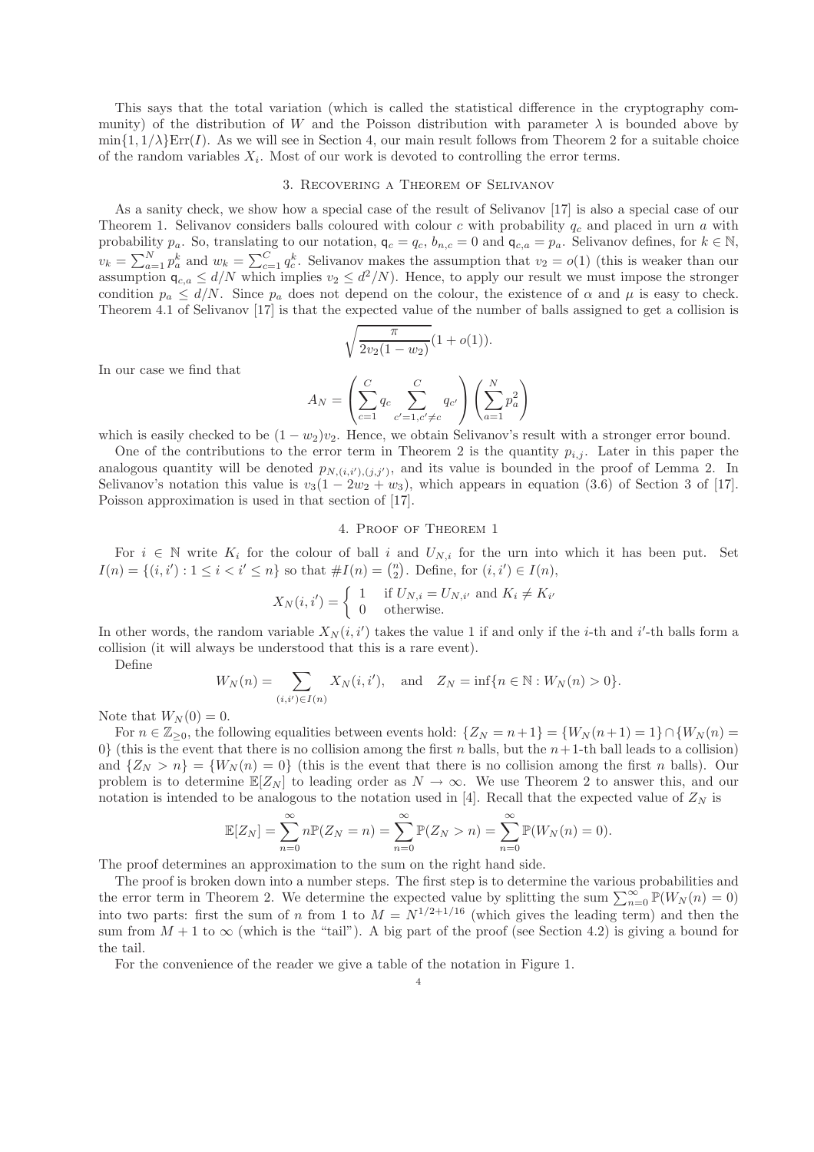This says that the total variation (which is called the statistical difference in the cryptography community) of the distribution of W and the Poisson distribution with parameter  $\lambda$  is bounded above by  $\min\{1, 1/\lambda\}$ Err(I). As we will see in Section 4, our main result follows from Theorem 2 for a suitable choice of the random variables  $X_i$ . Most of our work is devoted to controlling the error terms.

#### 3. Recovering a Theorem of Selivanov

As a sanity check, we show how a special case of the result of Selivanov [17] is also a special case of our Theorem 1. Selivanov considers balls coloured with colour c with probability  $q_c$  and placed in urn a with probability  $p_a$ . So, translating to our notation,  $q_c = q_c$ ,  $b_{n,c} = 0$  and  $q_{c,a} = p_a$ . Selivanov defines, for  $k \in \mathbb{N}$ ,  $v_k = \sum_{a=1}^{N} p_a^k$  and  $w_k = \sum_{c=1}^{C} q_c^k$ . Selivanov makes the assumption that  $v_2 = o(1)$  (this is weaker than our assumption  $\mathsf{q}_{c,a} \leq d/N$  which implies  $v_2 \leq d^2/N$ . Hence, to apply our result we must impose the stronger condition  $p_a \le d/N$ . Since  $p_a$  does not depend on the colour, the existence of  $\alpha$  and  $\mu$  is easy to check. Theorem 4.1 of Selivanov [17] is that the expected value of the number of balls assigned to get a collision is

$$
\sqrt{\frac{\pi}{2v_2(1-w_2)}}(1+o(1)).
$$

In our case we find that

$$
A_N = \left(\sum_{c=1}^C q_c \sum_{c'=1, c'\neq c}^C q_{c'}\right) \left(\sum_{a=1}^N p_a^2\right)
$$

which is easily checked to be  $(1 - w_2)v_2$ . Hence, we obtain Selivanov's result with a stronger error bound.

One of the contributions to the error term in Theorem 2 is the quantity  $p_{i,j}$ . Later in this paper the analogous quantity will be denoted  $p_{N,(i,i'),(j,j')}$ , and its value is bounded in the proof of Lemma 2. In Selivanov's notation this value is  $v_3(1 - 2w_2 + w_3)$ , which appears in equation (3.6) of Section 3 of [17]. Poisson approximation is used in that section of [17].

# 4. Proof of Theorem 1

For  $i \in \mathbb{N}$  write  $K_i$  for the colour of ball i and  $U_{N,i}$  for the urn into which it has been put. Set  $I(n) = \{(i, i') : 1 \le i < i' \le n\}$  so that  $\#I(n) = \binom{n}{2}$ . Define, for  $(i, i') \in I(n)$ ,

$$
X_N(i, i') = \begin{cases} 1 & \text{if } U_{N,i} = U_{N,i'} \text{ and } K_i \neq K_{i'} \\ 0 & \text{otherwise.} \end{cases}
$$

In other words, the random variable  $X_N(i, i')$  takes the value 1 if and only if the *i*-th and *i'*-th balls form a collision (it will always be understood that this is a rare event).

Define

$$
W_N(n) = \sum_{(i,i') \in I(n)} X_N(i,i'), \text{ and } Z_N = \inf\{n \in \mathbb{N} : W_N(n) > 0\}.
$$

Note that  $W_N(0) = 0$ .

For  $n \in \mathbb{Z}_{\geq 0}$ , the following equalities between events hold:  $\{Z_N = n+1\} = \{W_N(n+1) = 1\} \cap \{W_N(n) = 1\}$ 0} (this is the event that there is no collision among the first n balls, but the  $n+1$ -th ball leads to a collision) and  $\{Z_N > n\} = \{W_N(n) = 0\}$  (this is the event that there is no collision among the first n balls). Our problem is to determine  $\mathbb{E}[Z_N]$  to leading order as  $N \to \infty$ . We use Theorem 2 to answer this, and our notation is intended to be analogous to the notation used in [4]. Recall that the expected value of  $Z_N$  is

$$
\mathbb{E}[Z_N] = \sum_{n=0}^{\infty} n \mathbb{P}(Z_N = n) = \sum_{n=0}^{\infty} \mathbb{P}(Z_N > n) = \sum_{n=0}^{\infty} \mathbb{P}(W_N(n) = 0).
$$

The proof determines an approximation to the sum on the right hand side.

The proof is broken down into a number steps. The first step is to determine the various probabilities and the error term in Theorem 2. We determine the expected value by splitting the sum  $\sum_{n=0}^{\infty} \mathbb{P}(W_N(n) = 0)$ into two parts: first the sum of n from 1 to  $M = N^{1/2+1/16}$  (which gives the leading term) and then the sum from  $M + 1$  to  $\infty$  (which is the "tail"). A big part of the proof (see Section 4.2) is giving a bound for the tail.

For the convenience of the reader we give a table of the notation in Figure 1.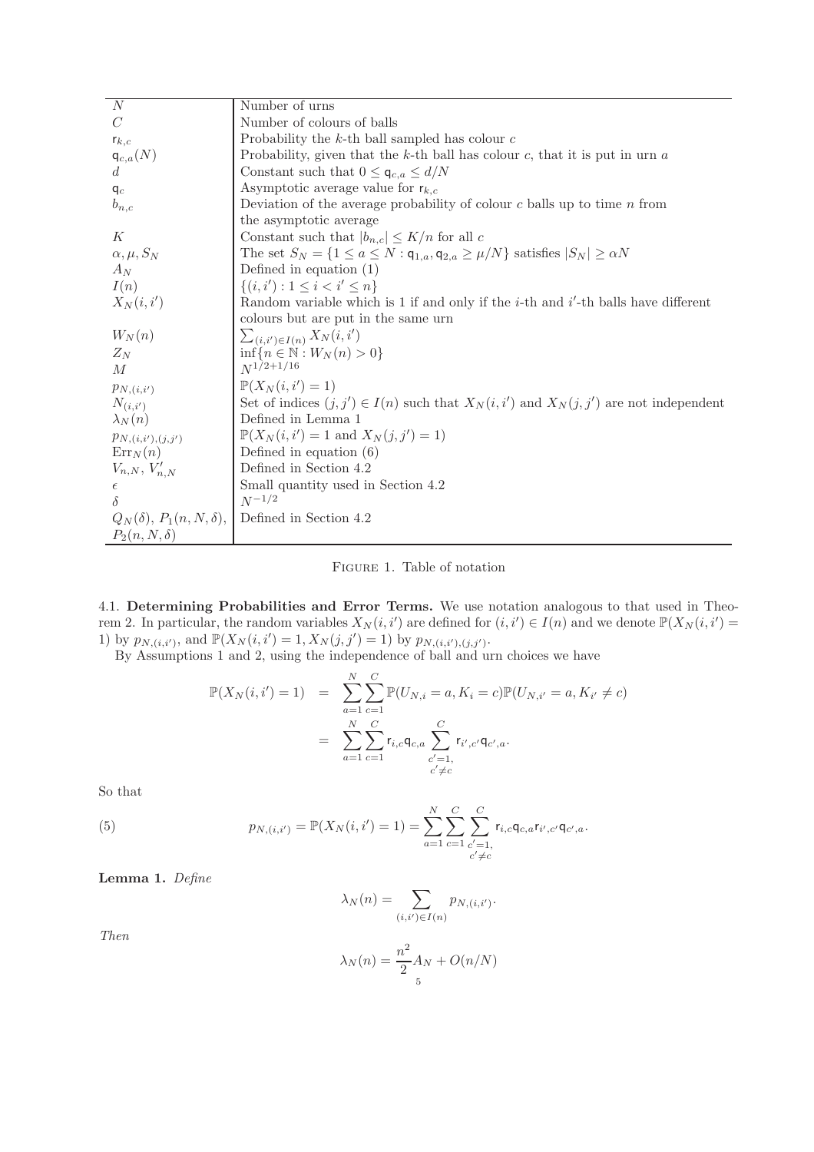| $\overline{N}$                        | Number of urns                                                                                                  |
|---------------------------------------|-----------------------------------------------------------------------------------------------------------------|
| $\mathcal{C}$                         | Number of colours of balls                                                                                      |
| $r_{k,c}$                             | Probability the $k$ -th ball sampled has colour $c$                                                             |
| $q_{c,a}(N)$<br>d                     | Probability, given that the $k$ -th ball has colour $c$ , that it is put in urn $a$                             |
|                                       | Constant such that $0 \leq \mathsf{q}_{c,a} \leq d/N$                                                           |
| $q_c$                                 | Asymptotic average value for $r_{k,c}$                                                                          |
| $b_{n,c}$                             | Deviation of the average probability of colour $c$ balls up to time $n$ from                                    |
|                                       | the asymptotic average                                                                                          |
| К                                     | Constant such that $ b_{n,c}  \leq K/n$ for all c                                                               |
| $\alpha, \mu, S_N$                    | The set $S_N = \{1 \le a \le N : \mathsf{q}_{1,a}, \mathsf{q}_{2,a} \ge \mu/N\}$ satisfies $ S_N  \ge \alpha N$ |
| $A_N$                                 | Defined in equation $(1)$                                                                                       |
| I(n)                                  | $\{(i, i'): 1 \leq i < i' \leq n\}$                                                                             |
| $X_N(i,i')$                           | Random variable which is 1 if and only if the $i$ -th and $i'$ -th balls have different                         |
|                                       | colours but are put in the same urn                                                                             |
| $W_N(n)$                              | $\sum_{(i,i') \in I(n)} X_N(i,i')$                                                                              |
| $Z_N$                                 | $\inf\{n\in\mathbb{N}:W_N(n)>0\}$                                                                               |
| M                                     | $N^{1/2+1/16}$                                                                                                  |
| $p_{N,(i,i')}$                        | $\mathbb{P}(X_N(i,i')=1)$                                                                                       |
| $N_{(i,i')}$                          | Set of indices $(j, j') \in I(n)$ such that $X_N(i, i')$ and $X_N(j, j')$ are not independent                   |
| $\lambda_N(n)$                        | Defined in Lemma 1                                                                                              |
| $p_{N,(i,i'),(j,j')}$                 | $\mathbb{P}(X_N(i, i') = 1 \text{ and } X_N(j, j') = 1)$                                                        |
| $\text{Err}_N(n)$                     | Defined in equation $(6)$                                                                                       |
| $V_{n,N}, V'_{n,N}$                   | Defined in Section 4.2                                                                                          |
| $\epsilon$                            | Small quantity used in Section 4.2                                                                              |
| $\delta$                              | $N^{-1/2}$                                                                                                      |
| $Q_N(\delta)$ , $P_1(n, N, \delta)$ , | Defined in Section 4.2                                                                                          |
| $P_2(n,N,\delta)$                     |                                                                                                                 |

Figure 1. Table of notation

4.1. Determining Probabilities and Error Terms. We use notation analogous to that used in Theorem 2. In particular, the random variables  $X_N(i, i')$  are defined for  $(i, i') \in I(n)$  and we denote  $\mathbb{P}(X_N(i, i') =$ 1) by  $p_{N,(i,i')},$  and  $\mathbb{P}(X_N(i,i')=1, X_N(j,j')=1)$  by  $p_{N,(i,i'),(j,j')}$ .

By Assumptions 1 and 2, using the independence of ball and urn choices we have

$$
\mathbb{P}(X_N(i, i') = 1) = \sum_{a=1}^N \sum_{c=1}^C \mathbb{P}(U_{N,i} = a, K_i = c) \mathbb{P}(U_{N,i'} = a, K_{i'} \neq c)
$$

$$
= \sum_{a=1}^N \sum_{c=1}^C r_{i,c} \mathfrak{q}_{c,a} \sum_{\substack{c'=1, \\ c' \neq c}}^C r_{i',c'} \mathfrak{q}_{c',a}.
$$

So that

(5) 
$$
p_{N,(i,i')} = \mathbb{P}(X_N(i,i') = 1) = \sum_{a=1}^N \sum_{c=1}^C \sum_{\substack{c'=1,\\c'\neq c}}^C r_{i,c} \mathsf{q}_{c,a} r_{i',c'} \mathsf{q}_{c',a}.
$$

Lemma 1. *Define*

$$
\lambda_N(n) = \sum_{(i,i') \in I(n)} p_{N,(i,i')}.
$$

*Then*

$$
\lambda_N(n) = \frac{n^2}{2} A_N + O(n/N)
$$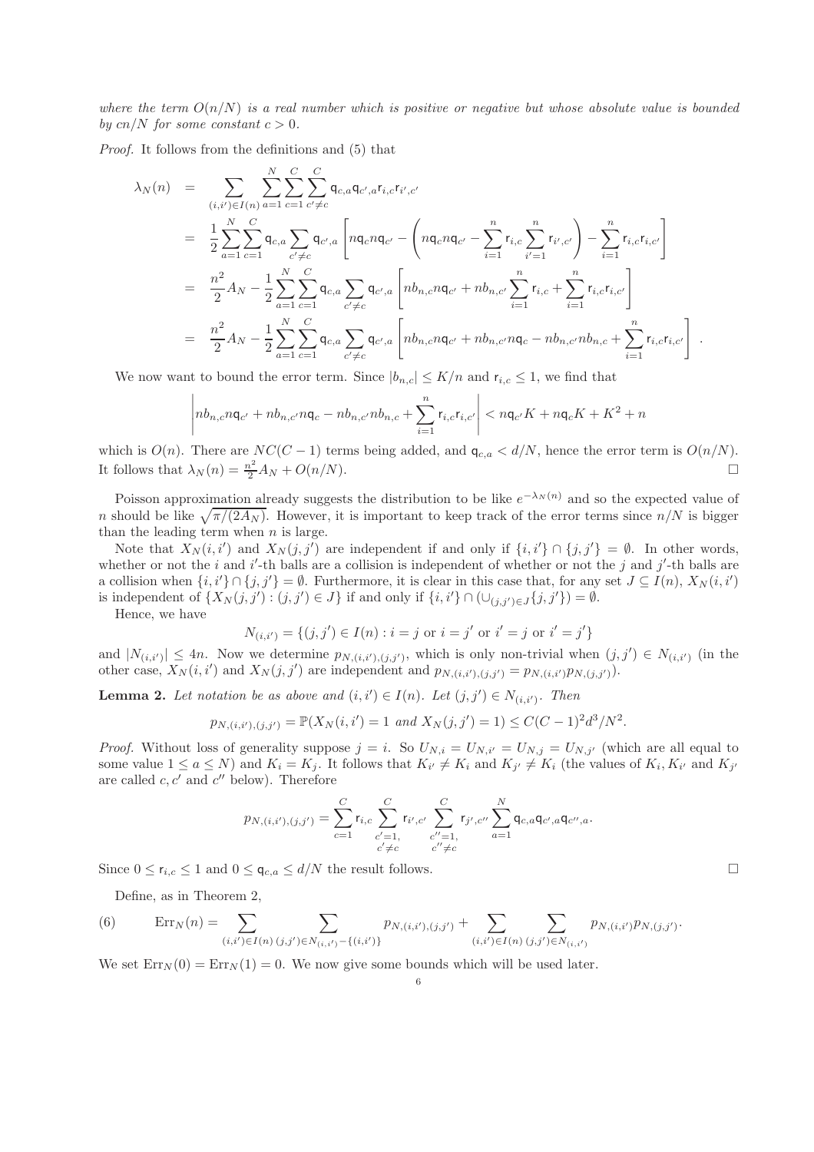*where the term* O(n/N) *is a real number which is positive or negative but whose absolute value is bounded by* cn/N for some constant  $c > 0$ .

*Proof.* It follows from the definitions and (5) that

$$
\lambda_N(n) = \sum_{(i,i') \in I(n)} \sum_{a=1}^N \sum_{c=1}^C \sum_{c' \neq c}^C \mathsf{q}_{c,a} \mathsf{q}_{c',a} \mathsf{r}_{i,c} \mathsf{r}_{i',c'}
$$
\n
$$
= \frac{1}{2} \sum_{a=1}^N \sum_{c=1}^C \mathsf{q}_{c,a} \sum_{c' \neq c} \mathsf{q}_{c',a} \left[ n \mathsf{q}_c n \mathsf{q}_{c'} - \left( n \mathsf{q}_c n \mathsf{q}_{c'} - \sum_{i=1}^n \mathsf{r}_{i,c} \sum_{i'=1}^n \mathsf{r}_{i',c'} \right) - \sum_{i=1}^n \mathsf{r}_{i,c} \mathsf{r}_{i,c'} \right]
$$
\n
$$
= \frac{n^2}{2} A_N - \frac{1}{2} \sum_{a=1}^N \sum_{c=1}^C \mathsf{q}_{c,a} \sum_{c' \neq c} \mathsf{q}_{c',a} \left[ n b_{n,c} n \mathsf{q}_{c'} + n b_{n,c'} \sum_{i=1}^n \mathsf{r}_{i,c} + \sum_{i=1}^n \mathsf{r}_{i,c} \mathsf{r}_{i,c'} \right]
$$
\n
$$
= \frac{n^2}{2} A_N - \frac{1}{2} \sum_{a=1}^N \sum_{c=1}^C \mathsf{q}_{c,a} \sum_{c' \neq c} \mathsf{q}_{c',a} \left[ n b_{n,c} n \mathsf{q}_{c'} + n b_{n,c'} n \mathsf{q}_c - n b_{n,c'} n b_{n,c} + \sum_{i=1}^n \mathsf{r}_{i,c} \mathsf{r}_{i,c'} \right].
$$

We now want to bound the error term. Since  $|b_{n,c}| \leq K/n$  and  $r_{i,c} \leq 1$ , we find that

$$
\left| nb_{n,c} n\mathbf{q}_{c'} + nb_{n,c'} n\mathbf{q}_c - nb_{n,c'} nb_{n,c} + \sum_{i=1}^n \mathbf{r}_{i,c} \mathbf{r}_{i,c'} \right| < n\mathbf{q}_{c'} K + n\mathbf{q}_c K + K^2 + n
$$

which is  $O(n)$ . There are  $NC(C-1)$  terms being added, and  $\mathfrak{q}_{c,a} < d/N$ , hence the error term is  $O(n/N)$ .<br>It follows that  $\lambda_N(n) = \frac{n^2}{2} A_N + O(n/N)$ . It follows that  $\lambda_N(n) = \frac{n^2}{2} A_N + O(n/N)$ .

Poisson approximation already suggests the distribution to be like  $e^{-\lambda_N(n)}$  and so the expected value of n should be like  $\sqrt{\pi/(2A_N)}$ . However, it is important to keep track of the error terms since  $n/N$  is bigger than the leading term when  $n$  is large.

Note that  $X_N(i, i')$  and  $X_N(j, j')$  are independent if and only if  $\{i, i'\} \cap \{j, j'\} = \emptyset$ . In other words, whether or not the i and i'-th balls are a collision is independent of whether or not the j and j'-th balls are a collision when  $\{i, i'\} \cap \{j, j'\} = \emptyset$ . Furthermore, it is clear in this case that, for any set  $J \subseteq I(n)$ ,  $X_N(i, i')$ is independent of  $\{X_N(j, j') : (j, j') \in J\}$  if and only if  $\{i, i'\} \cap (\cup_{(j, j') \in J} \{j, j'\}) = \emptyset$ .

Hence, we have

$$
N_{(i,i')} = \{(j,j') \in I(n) : i = j \text{ or } i = j' \text{ or } i' = j \text{ or } i' = j'\}
$$

and  $|N_{(i,i')}| \leq 4n$ . Now we determine  $p_{N,(i,i'),(j,j')}$ , which is only non-trivial when  $(j,j') \in N_{(i,i')}$  (in the other case,  $X_N(i, i')$  and  $X_N(j, j')$  are independent and  $p_{N,(i,i'),(j,j')} = p_{N,(i,i')} p_{N,(j,j')})$ .

**Lemma 2.** Let notation be as above and  $(i, i') \in I(n)$ . Let  $(j, j') \in N_{(i, i')}$ . Then

$$
p_{N,(i,i'),(j,j')} = \mathbb{P}(X_N(i,i') = 1 \text{ and } X_N(j,j') = 1) \leq C(C-1)^2 d^3 / N^2.
$$

*Proof.* Without loss of generality suppose  $j = i$ . So  $U_{N,i} = U_{N,i'} = U_{N,j'} = U_{N,j'}$  (which are all equal to some value  $1 \le a \le N$ ) and  $K_i = K_j$ . It follows that  $K_{i'} \ne K_i$  and  $K_{j'} \ne K_i$  (the values of  $K_i, K_{i'}$  and  $K_{j'}$ ) are called  $c, c'$  and  $c''$  below). Therefore

$$
p_{N,(i,i'),(j,j')} = \sum_{c=1}^{C} r_{i,c} \sum_{\substack{c'=1,\\c'\neq c}}^{C} r_{i',c'} \sum_{\substack{c''=1,\\c''\neq c}}^{C} r_{j',c''} \sum_{a=1}^{N} \mathsf{q}_{c,a} \mathsf{q}_{c',a} \mathsf{q}_{c'',a}.
$$

Since  $0 \le r_{i,c} \le 1$  and  $0 \le q_{c,a} \le d/N$  the result follows.

Define, as in Theorem 2,

(6) 
$$
\operatorname{Err}_N(n) = \sum_{(i,i') \in I(n)} \sum_{(j,j') \in N_{(i,i')} - \{(i,i')\}} p_{N,(i,i'),(j,j')} + \sum_{(i,i') \in I(n)} \sum_{(j,j') \in N_{(i,i')}} p_{N,(i,i')} p_{N,(j,j')}.
$$

We set  $\text{Err}_N(0) = \text{Err}_N(1) = 0$ . We now give some bounds which will be used later.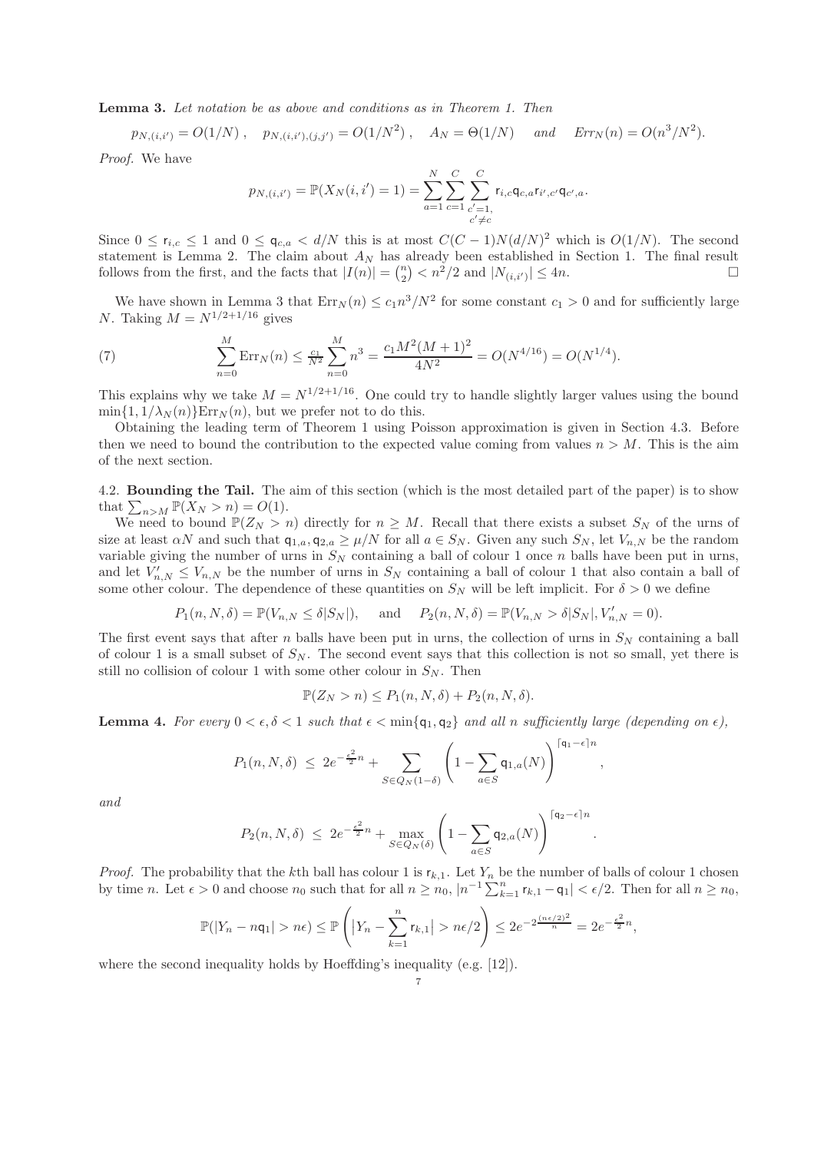Lemma 3. *Let notation be as above and conditions as in Theorem 1. Then*

 $p_{N,(i,i')} = O(1/N)$ ,  $p_{N,(i,i'),(j,j')} = O(1/N^2)$ ,  $A_N = \Theta(1/N)$  and  $Err_N(n) = O(n^3/N^2)$ .

*Proof.* We have

$$
p_{N,(i,i')} = \mathbb{P}(X_N(i,i') = 1) = \sum_{a=1}^N \sum_{c=1}^C \sum_{\substack{c'=1,\\c'\neq c}}^C r_{i,c} \mathbf{q}_{c,a} r_{i',c'} \mathbf{q}_{c',a}.
$$

Since  $0 \le r_{i,c} \le 1$  and  $0 \le \mathsf{q}_{c,a} < d/N$  this is at most  $C(C-1)N(d/N)^2$  which is  $O(1/N)$ . The second statement is Lemma 2. The claim about  $A_N$  has already been established in Section 1. The final result follows from the first, and the facts that  $|I(n)| = \binom{n}{2} < n^2/2$  and  $|N_{(i,i')}| \leq 4n$ .

We have shown in Lemma 3 that  $Err_N(n) \leq c_1 n^3/N^2$  for some constant  $c_1 > 0$  and for sufficiently large N. Taking  $M = N^{1/2+1/16}$  gives

(7) 
$$
\sum_{n=0}^{M} \text{Err}_N(n) \le \frac{c_1}{N^2} \sum_{n=0}^{M} n^3 = \frac{c_1 M^2 (M+1)^2}{4N^2} = O(N^{4/16}) = O(N^{1/4}).
$$

This explains why we take  $M = N^{1/2+1/16}$ . One could try to handle slightly larger values using the bound  $\min\{1, 1/\lambda_N(n)\}$ Err<sub>N</sub> $(n)$ , but we prefer not to do this.

Obtaining the leading term of Theorem 1 using Poisson approximation is given in Section 4.3. Before then we need to bound the contribution to the expected value coming from values  $n > M$ . This is the aim of the next section.

4.2. Bounding the Tail. The aim of this section (which is the most detailed part of the paper) is to show that  $\sum_{n>M} \mathbb{P}(X_N > n) = O(1)$ .

We need to bound  $\mathbb{P}(Z_N > n)$  directly for  $n \geq M$ . Recall that there exists a subset  $S_N$  of the urns of size at least  $\alpha N$  and such that  $q_{1,a}, q_{2,a} \geq \mu/N$  for all  $a \in S_N$ . Given any such  $S_N$ , let  $V_{n,N}$  be the random variable giving the number of urns in  $S_N$  containing a ball of colour 1 once n balls have been put in urns, and let  $V'_{n,N} \leq V_{n,N}$  be the number of urns in  $S_N$  containing a ball of colour 1 that also contain a ball of some other colour. The dependence of these quantities on  $S_N$  will be left implicit. For  $\delta > 0$  we define

$$
P_1(n, N, \delta) = \mathbb{P}(V_{n,N} \leq \delta |S_N|),
$$
 and  $P_2(n, N, \delta) = \mathbb{P}(V_{n,N} > \delta |S_N|, V'_{n,N} = 0).$ 

The first event says that after n balls have been put in urns, the collection of urns in  $S_N$  containing a ball of colour 1 is a small subset of  $S_N$ . The second event says that this collection is not so small, yet there is still no collision of colour 1 with some other colour in  $S_N$ . Then

$$
\mathbb{P}(Z_N > n) \le P_1(n, N, \delta) + P_2(n, N, \delta).
$$

**Lemma 4.** For every  $0 \lt \epsilon, \delta \lt 1$  such that  $\epsilon \lt \min\{q_1, q_2\}$  and all n sufficiently large (depending on  $\epsilon$ ),

$$
P_1(n, N, \delta) \leq 2e^{-\frac{\epsilon^2}{2}n} + \sum_{S \in Q_N(1-\delta)} \left(1 - \sum_{a \in S} \mathsf{q}_{1,a}(N)\right)^{\lceil \mathsf{q}_1 - \epsilon \rceil n}
$$

,

.

*and*

$$
P_2(n, N, \delta) \leq 2e^{-\frac{\epsilon^2}{2}n} + \max_{S \in Q_N(\delta)} \left(1 - \sum_{a \in S} \mathsf{q}_{2,a}(N)\right)^{\lceil \mathsf{q}_2 - \epsilon \rceil n}
$$

*Proof.* The probability that the kth ball has colour 1 is  $r_{k,1}$ . Let  $Y_n$  be the number of balls of colour 1 chosen by time n. Let  $\epsilon > 0$  and choose  $n_0$  such that for all  $n \ge n_0$ ,  $|n^{-1} \sum_{k=1}^n r_{k,1} - q_1| < \epsilon/2$ . Then for all  $n \ge n_0$ ,

$$
\mathbb{P}(|Y_n - n\mathsf{q}_1| > n\epsilon) \le \mathbb{P}\left(|Y_n - \sum_{k=1}^n r_{k,1}| > n\epsilon/2\right) \le 2e^{-2\frac{(n\epsilon/2)^2}{n}} = 2e^{-\frac{\epsilon^2}{2}n},
$$

where the second inequality holds by Hoeffding's inequality (e.g. [12]).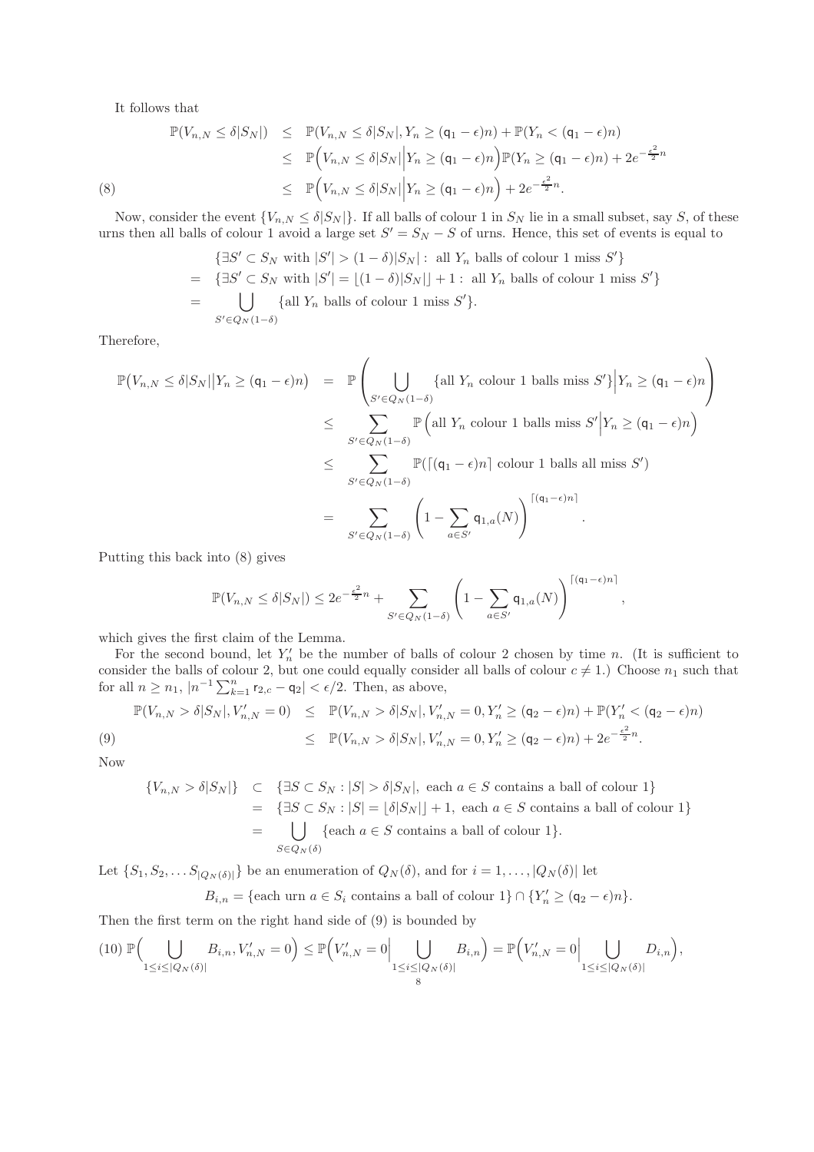It follows that

$$
\mathbb{P}(V_{n,N} \leq \delta|S_N|) \leq \mathbb{P}(V_{n,N} \leq \delta|S_N|, Y_n \geq (q_1 - \epsilon)n) + \mathbb{P}(Y_n < (q_1 - \epsilon)n)
$$
\n
$$
\leq \mathbb{P}\Big(V_{n,N} \leq \delta|S_N|\Big|Y_n \geq (q_1 - \epsilon)n\Big)\mathbb{P}(Y_n \geq (q_1 - \epsilon)n) + 2e^{-\frac{\epsilon^2}{2}n}
$$
\n
$$
\leq \mathbb{P}\Big(V_{n,N} \leq \delta|S_N|\Big|Y_n \geq (q_1 - \epsilon)n\Big) + 2e^{-\frac{\epsilon^2}{2}n}.
$$
\n
$$
(8)
$$

Now, consider the event  $\{V_{n,N} \leq \delta |S_N|\}$ . If all balls of colour 1 in  $S_N$  lie in a small subset, say S, of these urns then all balls of colour 1 avoid a large set  $S' = S_N - S$  of urns. Hence, this set of events is equal to

$$
\{\exists S' \subset S_N \text{ with } |S'| > (1 - \delta)|S_N| : \text{ all } Y_n \text{ balls of colour 1 miss } S'\}
$$
  
= 
$$
\{\exists S' \subset S_N \text{ with } |S'| = \lfloor (1 - \delta)|S_N| \rfloor + 1 : \text{ all } Y_n \text{ balls of colour 1 miss } S'\}
$$
  
= 
$$
\bigcup_{S' \in Q_N(1 - \delta)} \{\text{all } Y_n \text{ balls of colour 1 miss } S'\}.
$$

Therefore,

$$
\mathbb{P}\left(V_{n,N} \leq \delta|S_N|\middle|Y_n \geq (q_1 - \epsilon)n\right) = \mathbb{P}\left(\bigcup_{S' \in Q_N(1-\delta)} \{\text{all } Y_n \text{ colour 1 balls miss } S'\}\middle|Y_n \geq (q_1 - \epsilon)n\right)
$$
  

$$
\leq \sum_{S' \in Q_N(1-\delta)} \mathbb{P}\left(\text{all } Y_n \text{ colour 1 balls miss } S'\middle|Y_n \geq (q_1 - \epsilon)n\right)
$$
  

$$
\leq \sum_{S' \in Q_N(1-\delta)} \mathbb{P}\left(\left[\left(q_1 - \epsilon\right)n\right] \text{ colour 1 balls all miss } S'\right)
$$
  

$$
= \sum_{S' \in Q_N(1-\delta)} \left(1 - \sum_{a \in S'} q_{1,a}(N)\right)^{\left\lceil (q_1 - \epsilon)n \right\rceil}.
$$

Putting this back into (8) gives

$$
\mathbb{P}(V_{n,N} \le \delta|S_N|) \le 2e^{-\frac{\epsilon^2}{2}n} + \sum_{S' \in Q_N(1-\delta)} \left(1 - \sum_{a \in S'} \mathsf{q}_{1,a}(N)\right)^{\lceil(\mathsf{q}_1-\epsilon)n\rceil}
$$

,

which gives the first claim of the Lemma.

For the second bound, let  $Y'_n$  be the number of balls of colour 2 chosen by time n. (It is sufficient to consider the balls of colour 2, but one could equally consider all balls of colour  $c \neq 1$ .) Choose  $n_1$  such that for all  $n \ge n_1$ ,  $|n^{-1} \sum_{k=1}^n r_{2,c} - q_2| < \epsilon/2$ . Then, as above,

$$
\mathbb{P}(V_{n,N} > \delta | S_N|, V'_{n,N} = 0) \leq \mathbb{P}(V_{n,N} > \delta | S_N|, V'_{n,N} = 0, Y'_n \geq (\mathsf{q}_2 - \epsilon)n) + \mathbb{P}(Y'_n < (\mathsf{q}_2 - \epsilon)n)
$$
\n
$$
\leq \mathbb{P}(V_{n,N} > \delta | S_N|, V'_{n,N} = 0, Y'_n \geq (\mathsf{q}_2 - \epsilon)n) + 2e^{-\frac{\epsilon^2}{2}n}.
$$

Now

$$
\{V_{n,N} > \delta |S_N|\} \subset \{\exists S \subset S_N : |S| > \delta |S_N|, \text{ each } a \in S \text{ contains a ball of colour 1}\}
$$
  
= 
$$
\{\exists S \subset S_N : |S| = \lfloor \delta |S_N| \rfloor + 1, \text{ each } a \in S \text{ contains a ball of colour 1}\}
$$
  
= 
$$
\bigcup_{S \in Q_N(\delta)} \{\text{each } a \in S \text{ contains a ball of colour 1}\}.
$$

Let  $\{S_1, S_2, \ldots S_{|Q_N(\delta)|}\}\)$  be an enumeration of  $Q_N(\delta)$ , and for  $i = 1, \ldots, |Q_N(\delta)|\$ let

$$
B_{i,n} = \{ \text{each urn } a \in S_i \text{ contains a ball of colour } 1 \} \cap \{ Y'_n \geq (\mathsf{q}_2 - \epsilon)n \}.
$$

Then the first term on the right hand side of (9) is bounded by

$$
(10) \mathbb{P}\Big(\bigcup_{1 \leq i \leq |Q_N(\delta)|} B_{i,n}, V'_{n,N} = 0\Big) \leq \mathbb{P}\Big(V'_{n,N} = 0\Big| \bigcup_{\substack{1 \leq i \leq |Q_N(\delta)|\\8}} B_{i,n}\Big) = \mathbb{P}\Big(V'_{n,N} = 0\Big| \bigcup_{1 \leq i \leq |Q_N(\delta)|} D_{i,n}\Big),
$$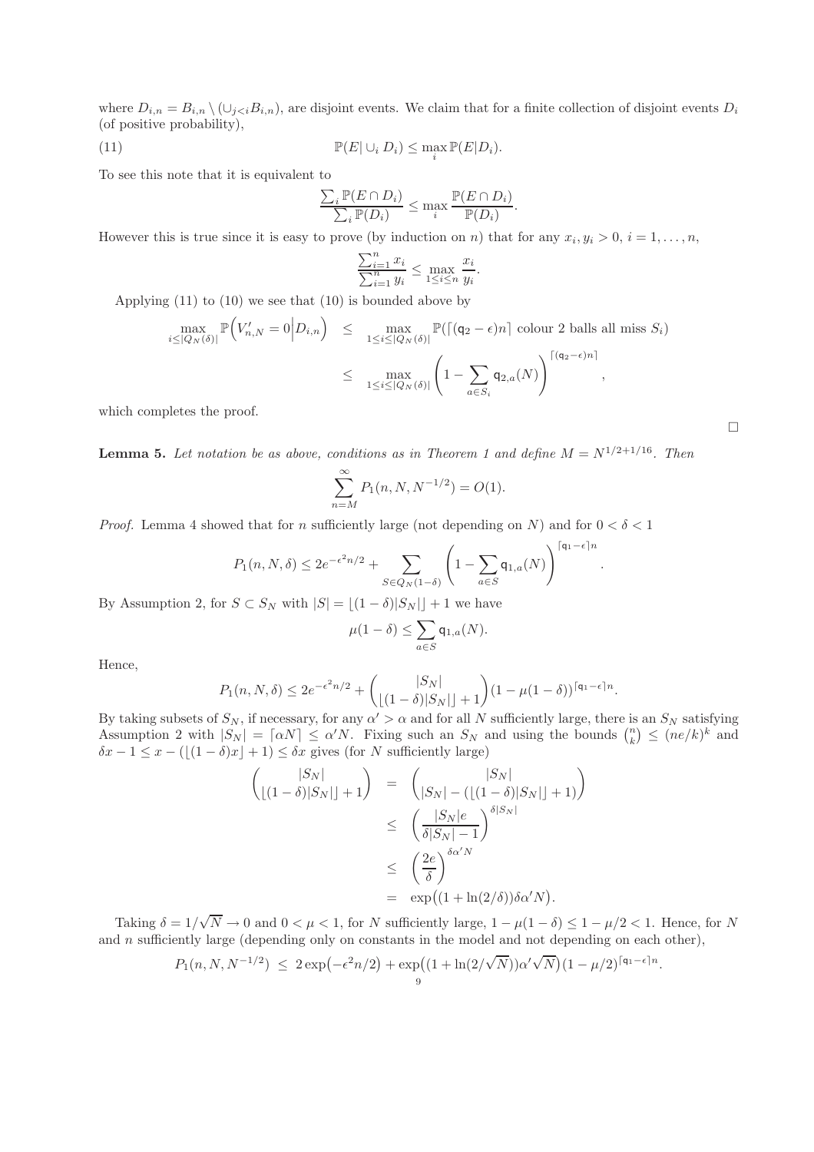where  $D_{i,n} = B_{i,n} \setminus (\cup_{j, are disjoint events. We claim that for a finite collection of disjoint events  $D_i$$ (of positive probability),

(11) 
$$
\mathbb{P}(E|\cup_i D_i) \leq \max_i \mathbb{P}(E|D_i).
$$

To see this note that it is equivalent to

$$
\frac{\sum_i \mathbb{P}(E \cap D_i)}{\sum_i \mathbb{P}(D_i)} \le \max_i \frac{\mathbb{P}(E \cap D_i)}{\mathbb{P}(D_i)}.
$$

However this is true since it is easy to prove (by induction on n) that for any  $x_i, y_i > 0, i = 1, \ldots, n$ ,

$$
\frac{\sum_{i=1}^{n} x_i}{\sum_{i=1}^{n} y_i} \le \max_{1 \le i \le n} \frac{x_i}{y_i}.
$$

Applying (11) to (10) we see that (10) is bounded above by

$$
\max_{i \leq |Q_N(\delta)|} \mathbb{P}\Big(V'_{n,N} = 0 \Big| D_{i,n} \Big) \leq \max_{1 \leq i \leq |Q_N(\delta)|} \mathbb{P}\big(\lceil (q_2 - \epsilon)n \rceil \text{ colour 2 balls all miss } S_i\big)
$$
  

$$
\leq \max_{1 \leq i \leq |Q_N(\delta)|} \left(1 - \sum_{a \in S_i} q_{2,a}(N)\right)^{\lceil (q_2 - \epsilon)n \rceil},
$$

which completes the proof.

**Lemma 5.** Let notation be as above, conditions as in Theorem 1 and define  $M = N^{1/2+1/16}$ . Then

$$
\sum_{n=M}^{\infty} P_1(n, N, N^{-1/2}) = O(1).
$$

*Proof.* Lemma 4 showed that for n sufficiently large (not depending on N) and for  $0 < \delta < 1$ 

$$
P_1(n, N, \delta) \leq 2e^{-\epsilon^2 n/2} + \sum_{S \in Q_N(1-\delta)} \left(1 - \sum_{a \in S} \mathsf{q}_{1,a}(N)\right)^{\lceil \mathsf{q}_1 - \epsilon \rceil n}
$$

By Assumption 2, for  $S \subset S_N$  with  $|S| = \lfloor (1 - \delta)|S_N| \rfloor + 1$  we have

$$
\mu(1-\delta) \leq \sum_{a \in S} \mathsf{q}_{1,a}(N).
$$

Hence,

$$
P_1(n, N, \delta) \le 2e^{-\epsilon^2 n/2} + \binom{|S_N|}{\lfloor (1-\delta)|S_N| \rfloor + 1} (1 - \mu(1-\delta))^{\lceil \mathsf{q}_1 - \epsilon \rceil n}.
$$

By taking subsets of  $S_N$ , if necessary, for any  $\alpha' > \alpha$  and for all N sufficiently large, there is an  $S_N$  satisfying Assumption 2 with  $|S_N| = \lceil \alpha N \rceil \leq \alpha' N$ . Fixing such an  $S_N$  and using the bounds  $\binom{n}{k} \leq (n e/k)^k$  and  $\delta x - 1 \leq x - (\lfloor (1 - \delta)x \rfloor + 1) \leq \delta x$  gives (for N sufficiently large)

$$
\begin{array}{rcl}\n\left(\begin{array}{c} |S_N| \\
\lfloor(1-\delta)|S_N|\rfloor+1\end{array}\right) & = & \left(\begin{array}{c} |S_N| \\
\lfloor S_N| - (\lfloor(1-\delta)|S_N|\rfloor+1)\end{array}\right) \\
& \leq & \left(\frac{|S_N|e}{\delta|S_N|-1}\right)^{\delta|S_N|} \\
& \leq & \left(\frac{2e}{\delta}\right)^{\delta\alpha'N} \\
& = & \exp\left((1+\ln(2/\delta))\delta\alpha'N\right).\n\end{array}
$$

Taking  $\delta = 1/\sqrt{N} \to 0$  and  $0 < \mu < 1$ , for N sufficiently large,  $1 - \mu(1 - \delta) \le 1 - \mu/2 < 1$ . Hence, for N and  $n$  sufficiently large (depending only on constants in the model and not depending on each other),

$$
P_1(n, N, N^{-1/2}) \leq 2 \exp(-\epsilon^2 n/2) + \exp((1 + \ln(2/\sqrt{N}))\alpha' \sqrt{N})(1 - \mu/2)^{\lceil q_1 - \epsilon \rceil n}.
$$

.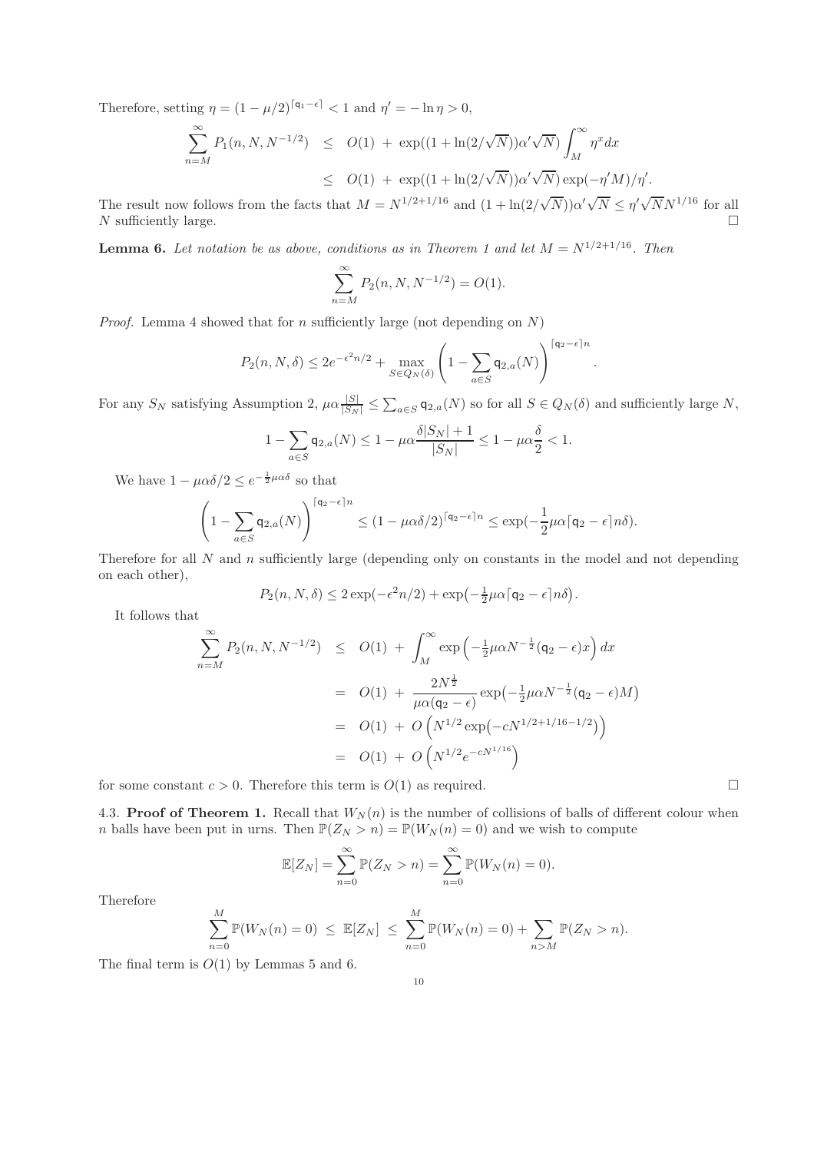Therefore, setting  $\eta = (1 - \mu/2)^{\lceil q_1 - \epsilon \rceil} < 1$  and  $\eta' = -\ln \eta > 0$ ,

$$
\sum_{n=M}^{\infty} P_1(n, N, N^{-1/2}) \leq O(1) + \exp((1 + \ln(2/\sqrt{N}))\alpha' \sqrt{N}) \int_M^{\infty} \eta^x dx
$$
  

$$
\leq O(1) + \exp((1 + \ln(2/\sqrt{N}))\alpha' \sqrt{N}) \exp(-\eta'M)/\eta'.
$$

The result now follows from the facts that  $M = N^{1/2+1/16}$  and  $(1 + \ln(2/\sqrt{N}))\alpha' \sqrt{N} \leq \eta' \sqrt{N} N^{1/16}$  for all N sufficiently large.  $\Box$ 

**Lemma 6.** Let notation be as above, conditions as in Theorem 1 and let  $M = N^{1/2+1/16}$ . Then

$$
\sum_{n=M}^{\infty} P_2(n, N, N^{-1/2}) = O(1).
$$

*Proof.* Lemma 4 showed that for n sufficiently large (not depending on  $N$ )

$$
P_2(n, N, \delta) \le 2e^{-\epsilon^2 n/2} + \max_{S \in Q_N(\delta)} \left(1 - \sum_{a \in S} \mathsf{q}_{2,a}(N)\right)^{\lceil \mathsf{q}_2 - \epsilon \rceil n}
$$

For any  $S_N$  satisfying Assumption 2,  $\mu \alpha \frac{|S|}{|S_N|} \leq \sum_{a \in S} q_{2,a}(N)$  so for all  $S \in Q_N(\delta)$  and sufficiently large N,

.

.

$$
1 - \sum_{a \in S} \mathsf{q}_{2,a}(N) \le 1 - \mu \alpha \frac{\delta|S_N| + 1}{|S_N|} \le 1 - \mu \alpha \frac{\delta}{2} < 1.
$$

We have  $1 - \mu \alpha \delta / 2 \leq e^{-\frac{1}{2} \mu \alpha \delta}$  so that

$$
\left(1 - \sum_{a \in S} \mathsf{q}_{2,a}(N)\right)^{\lceil \mathsf{q}_2 - \epsilon \rceil n} \leq \left(1 - \mu \alpha \delta/2\right)^{\lceil \mathsf{q}_2 - \epsilon \rceil n} \leq \exp\left(-\frac{1}{2} \mu \alpha \lceil \mathsf{q}_2 - \epsilon \rceil n \delta\right).
$$

Therefore for all  $N$  and  $n$  sufficiently large (depending only on constants in the model and not depending on each other),

$$
P_2(n, N, \delta) \le 2 \exp(-\epsilon^2 n/2) + \exp(-\frac{1}{2}\mu \alpha \lceil \mathsf{q}_2 - \epsilon \rceil n \delta)
$$

It follows that

$$
\sum_{n=M}^{\infty} P_2(n, N, N^{-1/2}) \leq O(1) + \int_M^{\infty} \exp\left(-\frac{1}{2}\mu\alpha N^{-\frac{1}{2}}(q_2 - \epsilon)x\right) dx
$$
  
=  $O(1) + \frac{2N^{\frac{1}{2}}}{\mu\alpha(q_2 - \epsilon)} \exp\left(-\frac{1}{2}\mu\alpha N^{-\frac{1}{2}}(q_2 - \epsilon)M\right)$   
=  $O(1) + O\left(N^{1/2} \exp\left(-cN^{1/2+1/16-1/2}\right)\right)$   
=  $O(1) + O\left(N^{1/2}e^{-cN^{1/16}}\right)$ 

for some constant  $c > 0$ . Therefore this term is  $O(1)$  as required.

4.3. Proof of Theorem 1. Recall that  $W_N(n)$  is the number of collisions of balls of different colour when n balls have been put in urns. Then  $\mathbb{P}(Z_N > n) = \mathbb{P}(W_N(n) = 0)$  and we wish to compute

$$
\mathbb{E}[Z_N] = \sum_{n=0}^{\infty} \mathbb{P}(Z_N > n) = \sum_{n=0}^{\infty} \mathbb{P}(W_N(n) = 0).
$$

Therefore

$$
\sum_{n=0}^{M} \mathbb{P}(W_N(n) = 0) \leq \mathbb{E}[Z_N] \leq \sum_{n=0}^{M} \mathbb{P}(W_N(n) = 0) + \sum_{n>M} \mathbb{P}(Z_N > n).
$$

The final term is  $O(1)$  by Lemmas 5 and 6.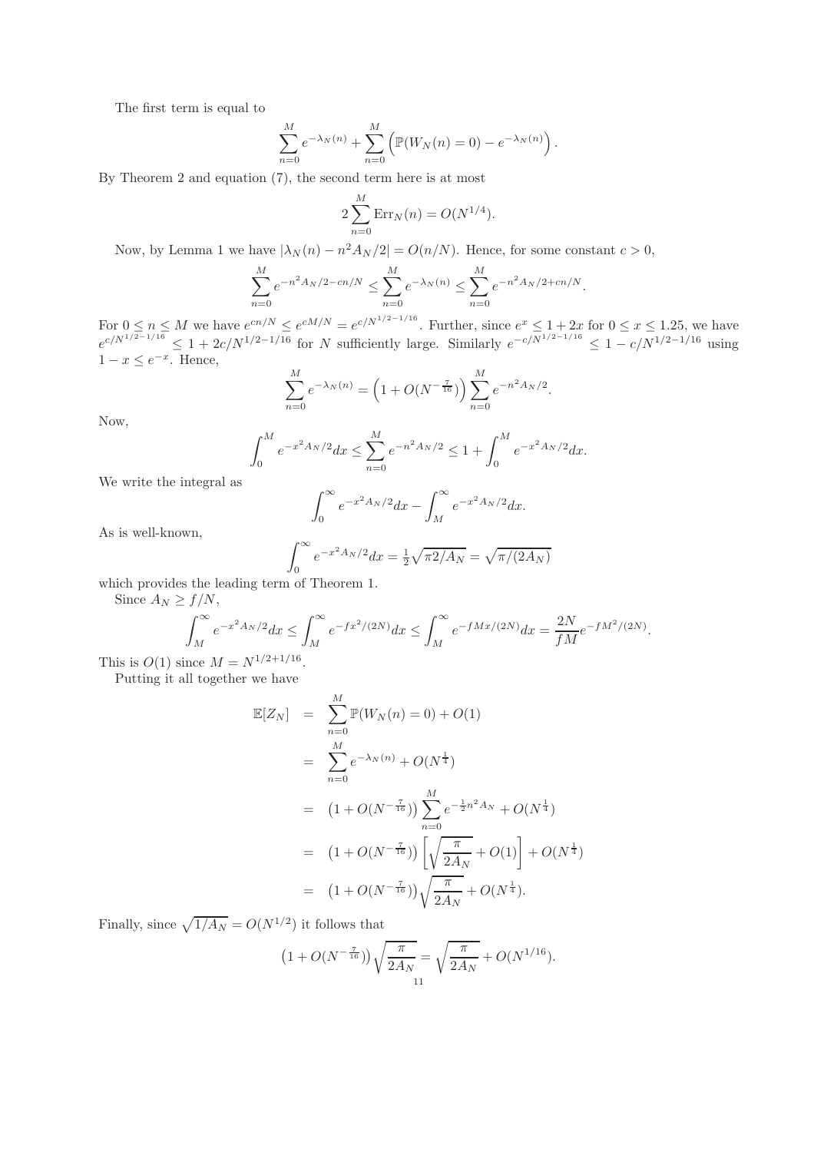The first term is equal to

$$
\sum_{n=0}^{M} e^{-\lambda_N(n)} + \sum_{n=0}^{M} (\mathbb{P}(W_N(n) = 0) - e^{-\lambda_N(n)})
$$

By Theorem 2 and equation (7), the second term here is at most

$$
2\sum_{n=0}^{M} \text{Err}_N(n) = O(N^{1/4}).
$$

Now, by Lemma 1 we have  $|\lambda_N(n) - n^2 A_N/2| = O(n/N)$ . Hence, for some constant  $c > 0$ ,

$$
\sum_{n=0}^{M} e^{-n^2 A_N/2 - cn/N} \le \sum_{n=0}^{M} e^{-\lambda_N(n)} \le \sum_{n=0}^{M} e^{-n^2 A_N/2 + cn/N}.
$$

For  $0 \le n \le M$  we have  $e^{cn/N} \le e^{cM/N} = e^{c/N^{1/2-1/16}}$ . Further, since  $e^x \le 1+2x$  for  $0 \le x \le 1.25$ , we have  $e^{c/N^{1/2-1/16}} \leq 1 + 2c/N^{1/2-1/16}$  for N sufficiently large. Similarly  $e^{-c/N^{1/2-1/16}} \leq 1 - c/N^{1/2-1/16}$  using  $1-x \leq e^{-x}$ . Hence,

$$
\sum_{n=0}^{M} e^{-\lambda_N(n)} = \left(1 + O(N^{-\frac{7}{16}})\right) \sum_{n=0}^{M} e^{-n^2 A_N/2}.
$$

Now,

$$
\int_0^M e^{-x^2 A_N/2} dx \le \sum_{n=0}^M e^{-n^2 A_N/2} \le 1 + \int_0^M e^{-x^2 A_N/2} dx.
$$

We write the integral as

$$
\int_0^\infty e^{-x^2 A_N/2} dx - \int_M^\infty e^{-x^2 A_N/2} dx.
$$

As is well-known,

$$
\int_0^{\infty} e^{-x^2 A_N/2} dx = \frac{1}{2} \sqrt{\pi 2/A_N} = \sqrt{\pi / (2A_N)}
$$

which provides the leading term of Theorem 1.

Since  $A_N \ge f/N$ ,

$$
\int_{M}^{\infty} e^{-x^2 A_N/2} dx \le \int_{M}^{\infty} e^{-fx^2/(2N)} dx \le \int_{M}^{\infty} e^{-fMx/(2N)} dx = \frac{2N}{fM} e^{-fM^2/(2N)}.
$$

This is  $O(1)$  since  $M = N^{1/2+1/16}$ .

Putting it all together we have

$$
\mathbb{E}[Z_N] = \sum_{n=0}^{M} \mathbb{P}(W_N(n) = 0) + O(1)
$$
  
\n
$$
= \sum_{n=0}^{M} e^{-\lambda_N(n)} + O(N^{\frac{1}{4}})
$$
  
\n
$$
= (1 + O(N^{-\frac{7}{16}})) \sum_{n=0}^{M} e^{-\frac{1}{2}n^2 A_N} + O(N^{\frac{1}{4}})
$$
  
\n
$$
= (1 + O(N^{-\frac{7}{16}})) \left[ \sqrt{\frac{\pi}{2A_N}} + O(1) \right] + O(N^{\frac{1}{4}})
$$
  
\n
$$
= (1 + O(N^{-\frac{7}{16}})) \sqrt{\frac{\pi}{2A_N}} + O(N^{\frac{1}{4}}).
$$

Finally, since  $\sqrt{1/A_N} = O(N^{1/2})$  it follows that

$$
(1 + O(N^{-\frac{7}{16}}))\sqrt{\frac{\pi}{2A_N}} = \sqrt{\frac{\pi}{2A_N}} + O(N^{1/16}).
$$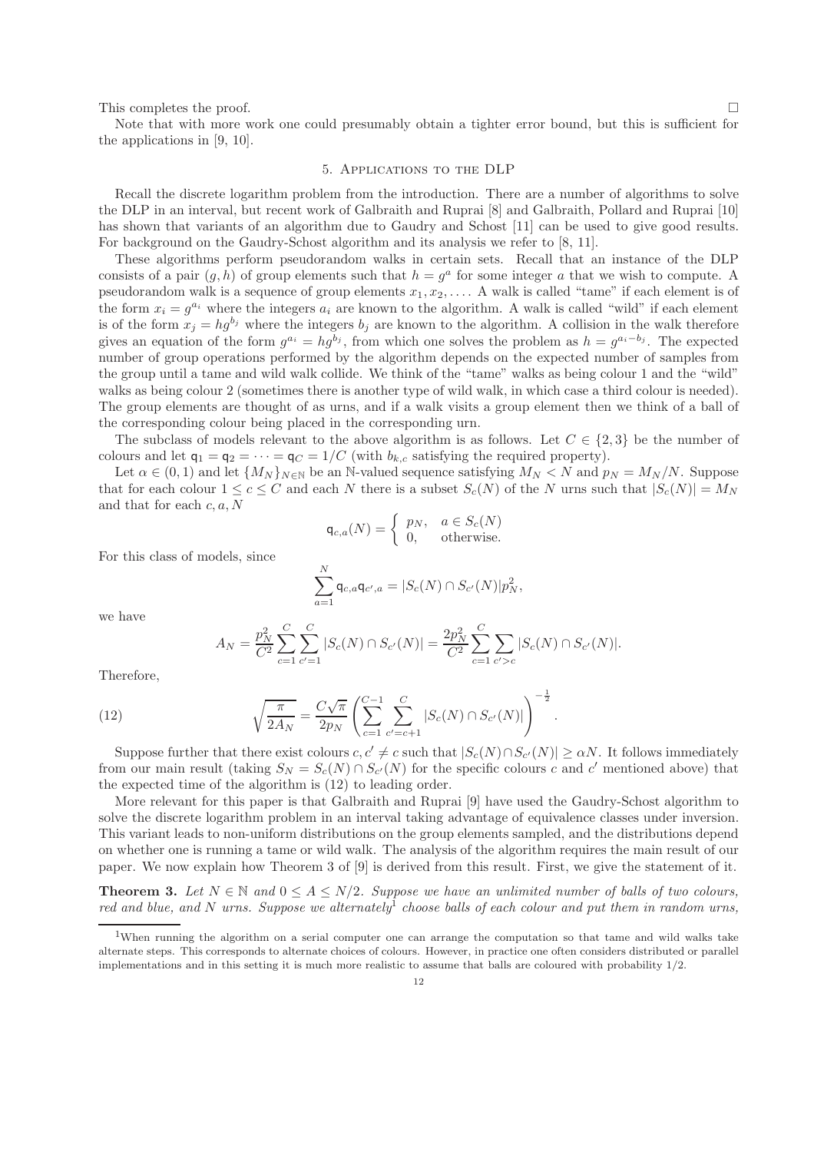This completes the proof.  $\square$ 

Note that with more work one could presumably obtain a tighter error bound, but this is sufficient for the applications in [9, 10].

# 5. Applications to the DLP

Recall the discrete logarithm problem from the introduction. There are a number of algorithms to solve the DLP in an interval, but recent work of Galbraith and Ruprai [8] and Galbraith, Pollard and Ruprai [10] has shown that variants of an algorithm due to Gaudry and Schost [11] can be used to give good results. For background on the Gaudry-Schost algorithm and its analysis we refer to [8, 11].

These algorithms perform pseudorandom walks in certain sets. Recall that an instance of the DLP consists of a pair  $(g, h)$  of group elements such that  $h = g^a$  for some integer a that we wish to compute. A pseudorandom walk is a sequence of group elements  $x_1, x_2, \ldots$ . A walk is called "tame" if each element is of the form  $x_i = g^{a_i}$  where the integers  $a_i$  are known to the algorithm. A walk is called "wild" if each element is of the form  $x_j = hg^{b_j}$  where the integers  $b_j$  are known to the algorithm. A collision in the walk therefore gives an equation of the form  $g^{a_i} = h g^{b_j}$ , from which one solves the problem as  $h = g^{a_i - b_j}$ . The expected number of group operations performed by the algorithm depends on the expected number of samples from the group until a tame and wild walk collide. We think of the "tame" walks as being colour 1 and the "wild" walks as being colour 2 (sometimes there is another type of wild walk, in which case a third colour is needed). The group elements are thought of as urns, and if a walk visits a group element then we think of a ball of the corresponding colour being placed in the corresponding urn.

The subclass of models relevant to the above algorithm is as follows. Let  $C \in \{2,3\}$  be the number of colours and let  $q_1 = q_2 = \cdots = q_C = 1/C$  (with  $b_{k,c}$  satisfying the required property).

Let  $\alpha \in (0,1)$  and let  $\{M_N\}_{N\in\mathbb{N}}$  be an N-valued sequence satisfying  $M_N < N$  and  $p_N = M_N/N$ . Suppose that for each colour  $1 \leq c \leq C$  and each N there is a subset  $S_c(N)$  of the N urns such that  $|S_c(N)| = M_N$ and that for each c, a, N

$$
\mathsf{q}_{c,a}(N) = \begin{cases} p_N, & a \in S_c(N) \\ 0, & \text{otherwise.} \end{cases}
$$

For this class of models, since

$$
\sum_{a=1}^N \mathsf{q}_{c,a} \mathsf{q}_{c',a} = |S_c(N) \cap S_{c'}(N)| p_N^2,
$$

we have

$$
A_N = \frac{p_N^2}{C^2} \sum_{c=1}^C \sum_{c'=1}^C |S_c(N) \cap S_{c'}(N)| = \frac{2p_N^2}{C^2} \sum_{c=1}^C \sum_{c'>c} |S_c(N) \cap S_{c'}(N)|.
$$

Therefore,

(12) 
$$
\sqrt{\frac{\pi}{2A_N}} = \frac{C\sqrt{\pi}}{2p_N} \left( \sum_{c=1}^{C-1} \sum_{c'=c+1}^{C} |S_c(N) \cap S_{c'}(N)| \right)^{-\frac{1}{2}}.
$$

Suppose further that there exist colours  $c, c' \neq c$  such that  $|S_c(N) \cap S_{c'}(N)| \geq \alpha N$ . It follows immediately from our main result (taking  $S_N = S_c(N) \cap S_{c'}(N)$  for the specific colours c and c' mentioned above) that the expected time of the algorithm is (12) to leading order.

More relevant for this paper is that Galbraith and Ruprai [9] have used the Gaudry-Schost algorithm to solve the discrete logarithm problem in an interval taking advantage of equivalence classes under inversion. This variant leads to non-uniform distributions on the group elements sampled, and the distributions depend on whether one is running a tame or wild walk. The analysis of the algorithm requires the main result of our paper. We now explain how Theorem 3 of [9] is derived from this result. First, we give the statement of it.

**Theorem 3.** Let  $N \in \mathbb{N}$  and  $0 \leq A \leq N/2$ . Suppose we have an unlimited number of balls of two colours, *red and blue, and* N *urns. Suppose we alternately*<sup>1</sup> *choose balls of each colour and put them in random urns,*

<sup>1</sup>When running the algorithm on a serial computer one can arrange the computation so that tame and wild walks take alternate steps. This corresponds to alternate choices of colours. However, in practice one often considers distributed or parallel implementations and in this setting it is much more realistic to assume that balls are coloured with probability 1/2.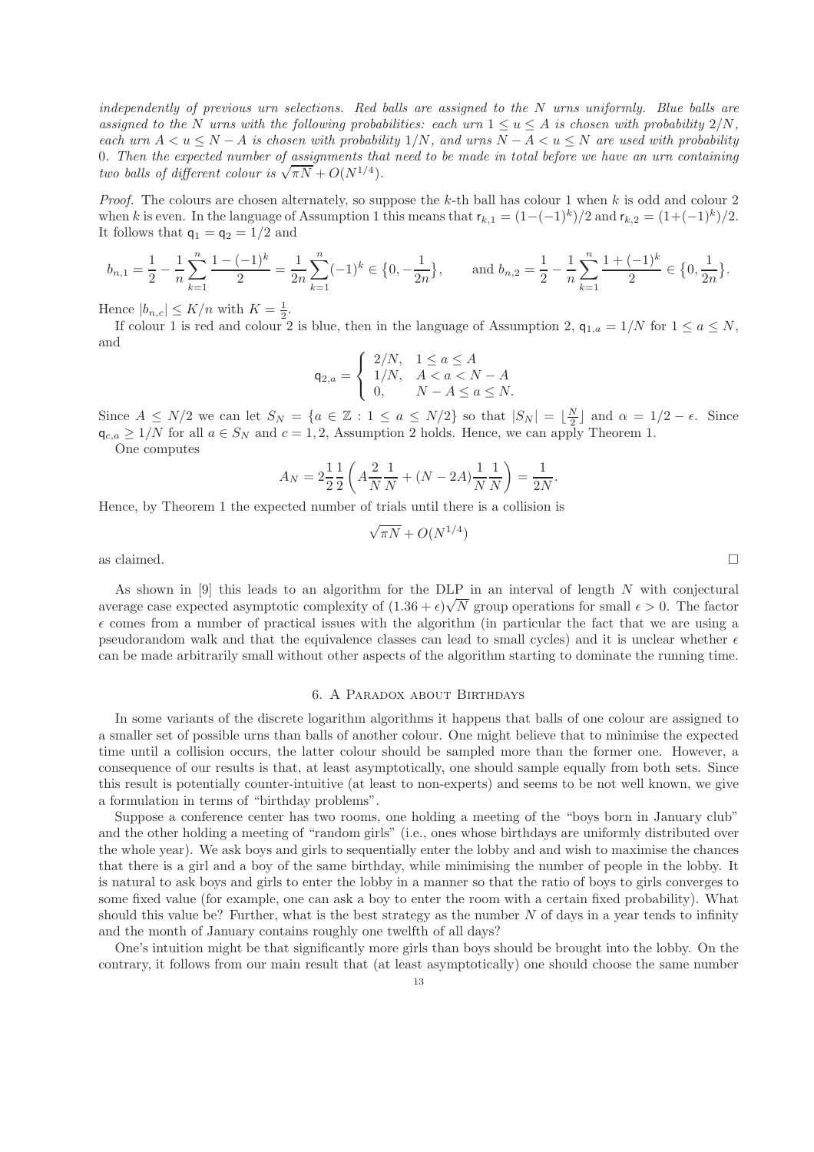*independently of previous urn selections. Red balls are assigned to the* N *urns uniformly. Blue balls are assigned to the* N *urns with the following probabilities: each urn*  $1 \le u \le A$  *is chosen with probability*  $2/N$ *, each urn*  $A < u \le N - A$  *is chosen with probability* 1/N, and urns  $N - A < u \le N$  are used with probability 0*. Then the expected number of assignments that need to be made in total before we have an urn containing two balls of different colour is*  $\sqrt{\pi N} + O(N^{1/4})$ *.* 

*Proof.* The colours are chosen alternately, so suppose the  $k$ -th ball has colour 1 when  $k$  is odd and colour 2 when k is even. In the language of Assumption 1 this means that  $r_{k,1} = (1 - (-1)^k)/2$  and  $r_{k,2} = (1 + (-1)^k)/2$ . It follows that  $q_1 = q_2 = 1/2$  and

$$
b_{n,1} = \frac{1}{2} - \frac{1}{n} \sum_{k=1}^{n} \frac{1 - (-1)^k}{2} = \frac{1}{2n} \sum_{k=1}^{n} (-1)^k \in \{0, -\frac{1}{2n}\}, \quad \text{and } b_{n,2} = \frac{1}{2} - \frac{1}{n} \sum_{k=1}^{n} \frac{1 + (-1)^k}{2} \in \{0, \frac{1}{2n}\}.
$$

Hence  $|b_{n,c}| \leq K/n$  with  $K = \frac{1}{2}$ .

If colour 1 is red and colour 2 is blue, then in the language of Assumption 2,  $q_{1,a} = 1/N$  for  $1 \le a \le N$ , and

$$
\mathsf{q}_{2,a} = \begin{cases} 2/N, & 1 \le a \le A \\ 1/N, & A < a < N - A \\ 0, & N - A \le a \le N. \end{cases}
$$

Since  $A \le N/2$  we can let  $S_N = \{a \in \mathbb{Z} : 1 \le a \le N/2\}$  so that  $|S_N| = \lfloor \frac{N}{2} \rfloor$  and  $\alpha = 1/2 - \epsilon$ . Since  $\mathsf{q}_{c,a} \geq 1/N$  for all  $a \in S_N$  and  $c = 1, 2$ , Assumption 2 holds. Hence, we can apply Theorem 1.

One computes

$$
A_N = 2\frac{1}{2}\frac{1}{2}\left(A\frac{2}{N}\frac{1}{N} + (N - 2A)\frac{1}{N}\frac{1}{N}\right) = \frac{1}{2N}.
$$

Hence, by Theorem 1 the expected number of trials until there is a collision is

√

$$
\overline{\pi N} + O(N^{1/4})
$$

as claimed.  $\square$ 

As shown in  $[9]$  this leads to an algorithm for the DLP in an interval of length  $N$  with conjectural average case expected asymptotic complexity of  $(1.36 + \epsilon)\sqrt{N}$  group operations for small  $\epsilon > 0$ . The factor  $\epsilon$  comes from a number of practical issues with the algorithm (in particular the fact that we are using a pseudorandom walk and that the equivalence classes can lead to small cycles) and it is unclear whether  $\epsilon$ can be made arbitrarily small without other aspects of the algorithm starting to dominate the running time.

### 6. A Paradox about Birthdays

In some variants of the discrete logarithm algorithms it happens that balls of one colour are assigned to a smaller set of possible urns than balls of another colour. One might believe that to minimise the expected time until a collision occurs, the latter colour should be sampled more than the former one. However, a consequence of our results is that, at least asymptotically, one should sample equally from both sets. Since this result is potentially counter-intuitive (at least to non-experts) and seems to be not well known, we give a formulation in terms of "birthday problems".

Suppose a conference center has two rooms, one holding a meeting of the "boys born in January club" and the other holding a meeting of "random girls" (i.e., ones whose birthdays are uniformly distributed over the whole year). We ask boys and girls to sequentially enter the lobby and and wish to maximise the chances that there is a girl and a boy of the same birthday, while minimising the number of people in the lobby. It is natural to ask boys and girls to enter the lobby in a manner so that the ratio of boys to girls converges to some fixed value (for example, one can ask a boy to enter the room with a certain fixed probability). What should this value be? Further, what is the best strategy as the number  $N$  of days in a year tends to infinity and the month of January contains roughly one twelfth of all days?

One's intuition might be that significantly more girls than boys should be brought into the lobby. On the contrary, it follows from our main result that (at least asymptotically) one should choose the same number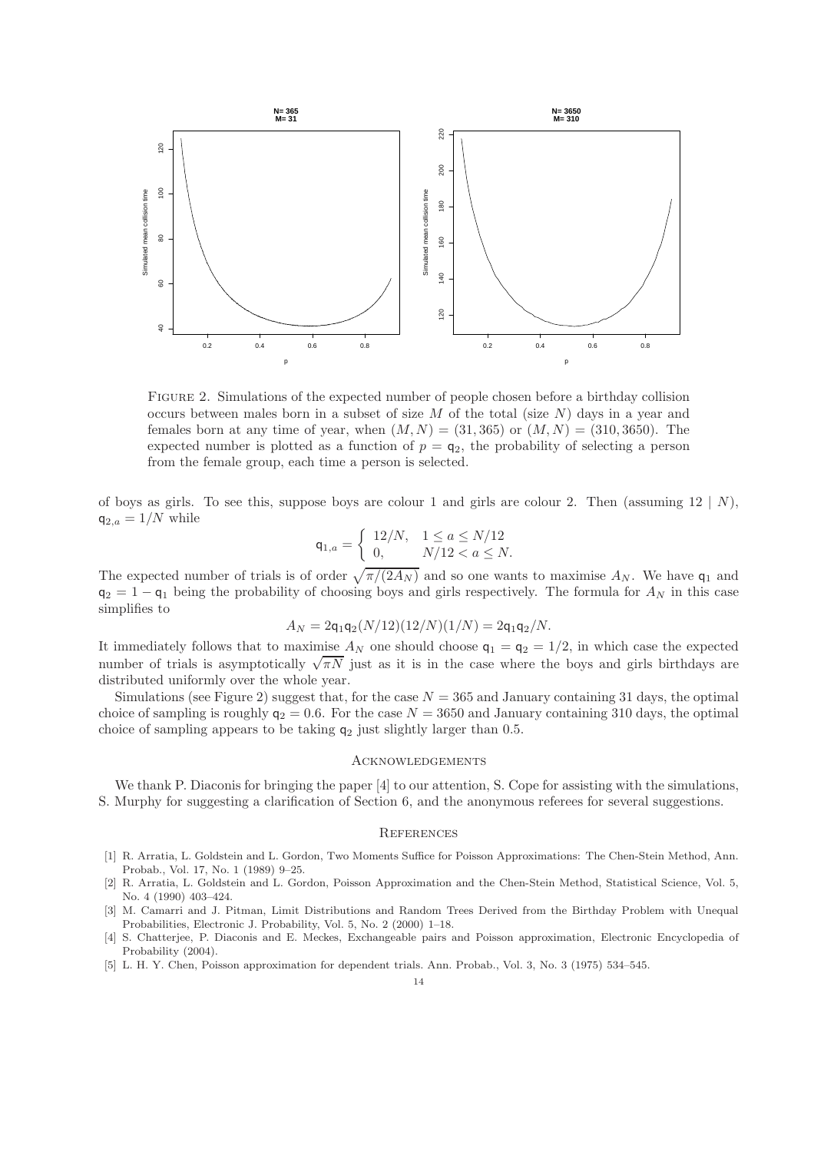

Figure 2. Simulations of the expected number of people chosen before a birthday collision occurs between males born in a subset of size M of the total (size  $N$ ) days in a year and females born at any time of year, when  $(M, N) = (31, 365)$  or  $(M, N) = (310, 3650)$ . The expected number is plotted as a function of  $p = q_2$ , the probability of selecting a person from the female group, each time a person is selected.

of boys as girls. To see this, suppose boys are colour 1 and girls are colour 2. Then (assuming  $12 \mid N$ ),  $q_{2,a} = 1/N$  while

$$
\mathsf{q}_{1,a} = \begin{cases} 12/N, & 1 \le a \le N/12 \\ 0, & N/12 < a \le N. \end{cases}
$$

The expected number of trials is of order  $\sqrt{\pi/(2A_N)}$  and so one wants to maximise  $A_N$ . We have  $\mathsf{q}_1$  and  $q_2 = 1 - q_1$  being the probability of choosing boys and girls respectively. The formula for  $A_N$  in this case simplifies to

$$
A_N = 2q_1q_2(N/12)(12/N)(1/N) = 2q_1q_2/N.
$$

It immediately follows that to maximise  $A_N$  one should choose  $q_1 = q_2 = 1/2$ , in which case the expected number of trials is asymptotically  $\sqrt{\pi N}$  just as it is in the case where the boys and girls birthdays are distributed uniformly over the whole year.

Simulations (see Figure 2) suggest that, for the case  $N = 365$  and January containing 31 days, the optimal choice of sampling is roughly  $q_2 = 0.6$ . For the case  $N = 3650$  and January containing 310 days, the optimal choice of sampling appears to be taking  $q_2$  just slightly larger than 0.5.

## **ACKNOWLEDGEMENTS**

We thank P. Diaconis for bringing the paper [4] to our attention, S. Cope for assisting with the simulations, S. Murphy for suggesting a clarification of Section 6, and the anonymous referees for several suggestions.

### **REFERENCES**

- [1] R. Arratia, L. Goldstein and L. Gordon, Two Moments Suffice for Poisson Approximations: The Chen-Stein Method, Ann. Probab., Vol. 17, No. 1 (1989) 9–25.
- [2] R. Arratia, L. Goldstein and L. Gordon, Poisson Approximation and the Chen-Stein Method, Statistical Science, Vol. 5, No. 4 (1990) 403–424.
- [3] M. Camarri and J. Pitman, Limit Distributions and Random Trees Derived from the Birthday Problem with Unequal Probabilities, Electronic J. Probability, Vol. 5, No. 2 (2000) 1–18.
- [4] S. Chatterjee, P. Diaconis and E. Meckes, Exchangeable pairs and Poisson approximation, Electronic Encyclopedia of Probability (2004).
- [5] L. H. Y. Chen, Poisson approximation for dependent trials. Ann. Probab., Vol. 3, No. 3 (1975) 534–545.